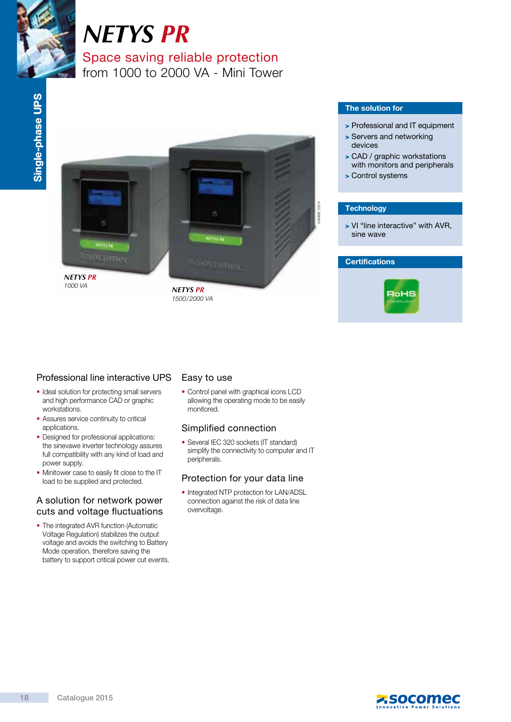

# *NETYS PR*

Space saving reliable protection from 1000 to 2000 VA - Mini Tower



### The solution for

- > Professional and IT equipment
- > Servers and networking devices
- > CAD / graphic workstations with monitors and peripherals
- > Control systems

### **Technology**

> VI "line interactive" with AVR, sine wave

### **Certifications**



### Professional line interactive UPS

- Ideal solution for protecting small servers and high performance CAD or graphic workstations.
- Assures service continuity to critical applications.
- Designed for professional applications: the sinevawe inverter technology assures full compatibility with any kind of load and power supply.
- Minitower case to easily fit close to the IT load to be supplied and protected.

### A solution for network power cuts and voltage fluctuations

• The integrated AVR function (Automatic Voltage Regulation) stabilizes the output voltage and avoids the switching to Battery Mode operation, therefore saving the battery to support critical power cut events.

### Easy to use

• Control panel with graphical icons LCD allowing the operating mode to be easily monitored.

### Simplified connection

• Several IEC 320 sockets (IT standard) simplify the connectivity to computer and IT peripherals.

### Protection for your data line

• Integrated NTP protection for LAN/ADSL connection against the risk of data line overvoltage.